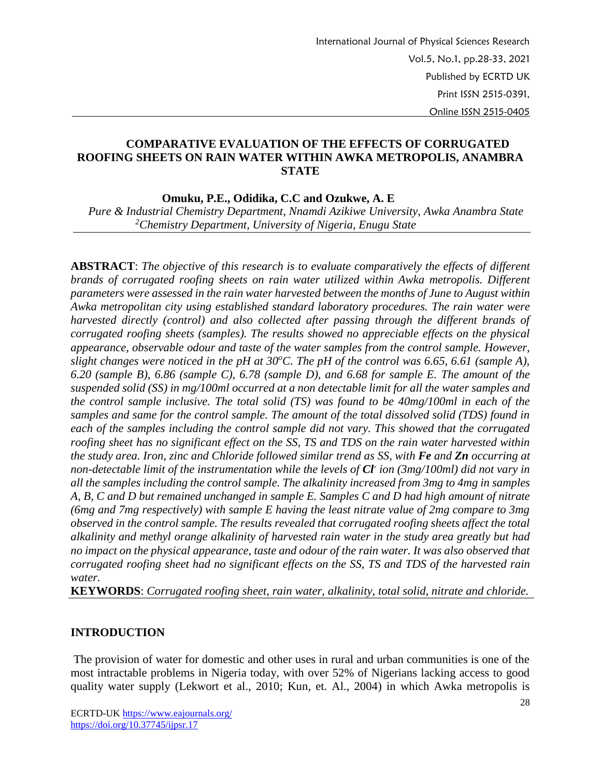### **COMPARATIVE EVALUATION OF THE EFFECTS OF CORRUGATED ROOFING SHEETS ON RAIN WATER WITHIN AWKA METROPOLIS, ANAMBRA STATE**

 **Omuku, P.E., Odidika, C.C and Ozukwe, A. E**

 *Pure & Industrial Chemistry Department, Nnamdi Azikiwe University, Awka Anambra State <sup>2</sup>Chemistry Department, University of Nigeria, Enugu State*

**ABSTRACT**: *The objective of this research is to evaluate comparatively the effects of different brands of corrugated roofing sheets on rain water utilized within Awka metropolis. Different parameters were assessed in the rain water harvested between the months of June to August within Awka metropolitan city using established standard laboratory procedures. The rain water were harvested directly (control) and also collected after passing through the different brands of corrugated roofing sheets (samples). The results showed no appreciable effects on the physical appearance, observable odour and taste of the water samples from the control sample. However, slight changes were noticed in the pH at 30<sup>o</sup>C. The pH of the control was 6.65, 6.61 (sample A), 6.20 (sample B), 6.86 (sample C), 6.78 (sample D), and 6.68 for sample E. The amount of the suspended solid (SS) in mg/100ml occurred at a non detectable limit for all the water samples and the control sample inclusive. The total solid (TS) was found to be 40mg/100ml in each of the samples and same for the control sample. The amount of the total dissolved solid (TDS) found in each of the samples including the control sample did not vary. This showed that the corrugated roofing sheet has no significant effect on the SS, TS and TDS on the rain water harvested within the study area. Iron, zinc and Chloride followed similar trend as SS, with Fe and Zn occurring at non-detectable limit of the instrumentation while the levels of Cl-ion (3mg/100ml) did not vary in all the samples including the control sample. The alkalinity increased from 3mg to 4mg in samples A, B, C and D but remained unchanged in sample E. Samples C and D had high amount of nitrate (6mg and 7mg respectively) with sample E having the least nitrate value of 2mg compare to 3mg observed in the control sample. The results revealed that corrugated roofing sheets affect the total alkalinity and methyl orange alkalinity of harvested rain water in the study area greatly but had no impact on the physical appearance, taste and odour of the rain water. It was also observed that corrugated roofing sheet had no significant effects on the SS, TS and TDS of the harvested rain water.*

**KEYWORDS**: *Corrugated roofing sheet, rain water, alkalinity, total solid, nitrate and chloride.*

#### **INTRODUCTION**

The provision of water for domestic and other uses in rural and urban communities is one of the most intractable problems in Nigeria today, with over 52% of Nigerians lacking access to good quality water supply (Lekwort et al., 2010; Kun, et. Al., 2004) in which Awka metropolis is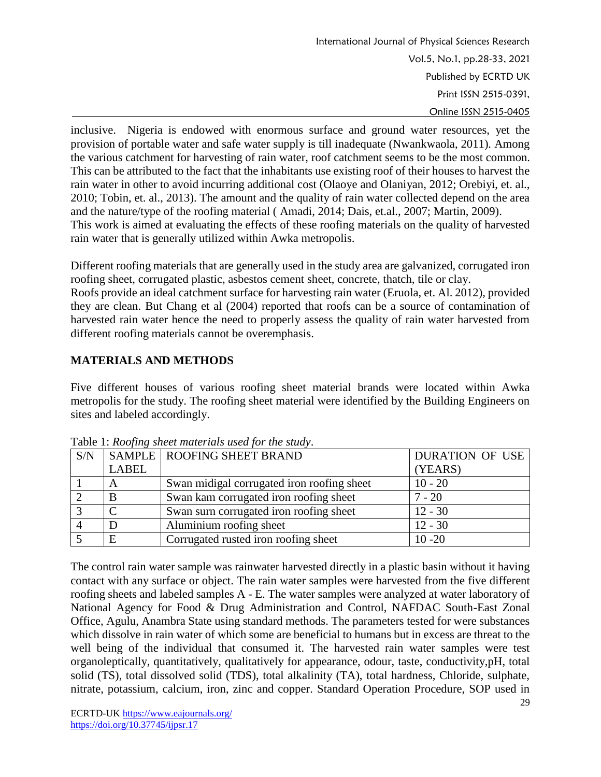International Journal of Physical Sciences Research Vol.5, No.1, pp.28-33, 2021 Published by ECRTD UK Print ISSN 2515-0391, Online ISSN 2515-0405

inclusive. Nigeria is endowed with enormous surface and ground water resources, yet the provision of portable water and safe water supply is till inadequate (Nwankwaola, 2011). Among the various catchment for harvesting of rain water, roof catchment seems to be the most common. This can be attributed to the fact that the inhabitants use existing roof of their houses to harvest the rain water in other to avoid incurring additional cost (Olaoye and Olaniyan, 2012; Orebiyi, et. al., 2010; Tobin, et. al., 2013). The amount and the quality of rain water collected depend on the area and the nature/type of the roofing material ( Amadi, 2014; Dais, et.al., 2007; Martin, 2009). This work is aimed at evaluating the effects of these roofing materials on the quality of harvested rain water that is generally utilized within Awka metropolis.

Different roofing materials that are generally used in the study area are galvanized, corrugated iron roofing sheet, corrugated plastic, asbestos cement sheet, concrete, thatch, tile or clay.

Roofs provide an ideal catchment surface for harvesting rain water (Eruola, et. Al. 2012), provided they are clean. But Chang et al (2004) reported that roofs can be a source of contamination of harvested rain water hence the need to properly assess the quality of rain water harvested from different roofing materials cannot be overemphasis.

# **MATERIALS AND METHODS**

Five different houses of various roofing sheet material brands were located within Awka metropolis for the study. The roofing sheet material were identified by the Building Engineers on sites and labeled accordingly.

| Tuble 1. <i>Roofing</i> sheet materials asca for the state, |       |                                            |                 |  |  |  |  |  |  |
|-------------------------------------------------------------|-------|--------------------------------------------|-----------------|--|--|--|--|--|--|
| S/N                                                         |       | SAMPLE   ROOFING SHEET BRAND               | DURATION OF USE |  |  |  |  |  |  |
|                                                             | LABEL |                                            | (YEARS)         |  |  |  |  |  |  |
|                                                             | A     | Swan midigal corrugated iron roofing sheet | $10 - 20$       |  |  |  |  |  |  |
|                                                             | B     | Swan kam corrugated iron roofing sheet     | $7 - 20$        |  |  |  |  |  |  |
|                                                             |       | Swan surn corrugated iron roofing sheet    | $12 - 30$       |  |  |  |  |  |  |
|                                                             |       | Aluminium roofing sheet                    | $12 - 30$       |  |  |  |  |  |  |
|                                                             | E     | Corrugated rusted iron roofing sheet       | $10 - 20$       |  |  |  |  |  |  |

Table 1: *Roofing sheet materials used for the study*.

The control rain water sample was rainwater harvested directly in a plastic basin without it having contact with any surface or object. The rain water samples were harvested from the five different roofing sheets and labeled samples A - E. The water samples were analyzed at water laboratory of National Agency for Food & Drug Administration and Control, NAFDAC South-East Zonal Office, Agulu, Anambra State using standard methods. The parameters tested for were substances which dissolve in rain water of which some are beneficial to humans but in excess are threat to the well being of the individual that consumed it. The harvested rain water samples were test organoleptically, quantitatively, qualitatively for appearance, odour, taste, conductivity,pH, total solid (TS), total dissolved solid (TDS), total alkalinity (TA), total hardness, Chloride, sulphate, nitrate, potassium, calcium, iron, zinc and copper. Standard Operation Procedure, SOP used in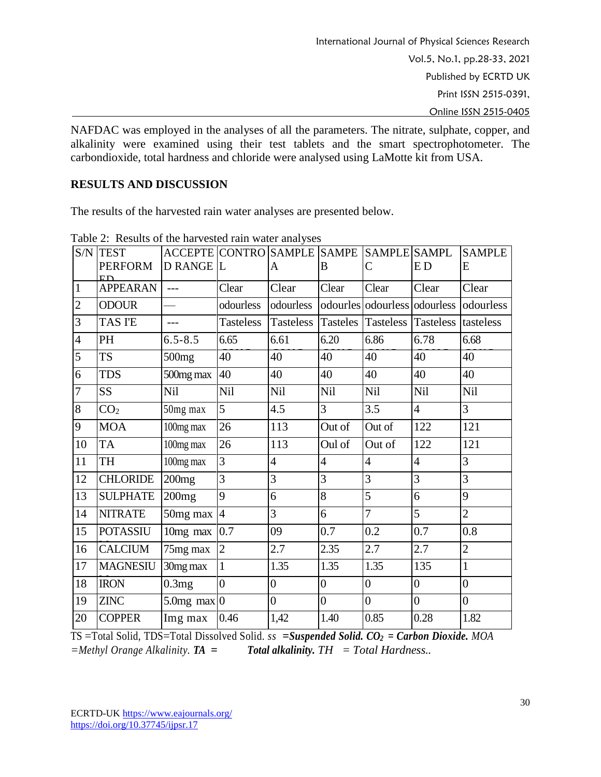NAFDAC was employed in the analyses of all the parameters. The nitrate, sulphate, copper, and alkalinity were examined using their test tablets and the smart spectrophotometer. The carbondioxide, total hardness and chloride were analysed using LaMotte kit from USA.

## **RESULTS AND DISCUSSION**

The results of the harvested rain water analyses are presented below.

|                          | $1 \text{ and } 2.$ Tresults of the fight ested fully water and yses<br><b>S/N TEST</b> | ACCEPTE CONTRO SAMPLE SAMPE SAMPLE SAMPLE |                |                                                  |                |                              |                | <b>SAMPLE</b>  |
|--------------------------|-----------------------------------------------------------------------------------------|-------------------------------------------|----------------|--------------------------------------------------|----------------|------------------------------|----------------|----------------|
|                          | <b>PERFORM</b><br>ED                                                                    | D RANGE L                                 |                | A                                                | B              | $\mathsf{C}$                 | <b>ED</b>      | E              |
| $\overline{1}$           | <b>APPEARAN</b>                                                                         | $---$                                     | Clear          | Clear                                            | Clear          | Clear                        | Clear          | Clear          |
| $\overline{2}$           | <b>ODOUR</b>                                                                            |                                           | odourless      | odourless                                        |                | odourles odourless odourless |                | odourless      |
| $\overline{\mathcal{E}}$ | <b>TAS I'E</b>                                                                          | $---$                                     | Tasteless      | Tasteless Tasteles Tasteless Tasteless tasteless |                |                              |                |                |
| $\overline{4}$           | PH                                                                                      | $6.5 - 8.5$                               | 6.65           | 6.61                                             | 6.20           | 6.86                         | 6.78           | 6.68           |
| $\overline{5}$           | <b>TS</b>                                                                               | 500mg                                     | 40             | 40                                               | 40             | 40                           | 40             | 40             |
| $\overline{6}$           | <b>TDS</b>                                                                              | 500mg max                                 | 40             | 40                                               | 40             | 40                           | 40             | 40             |
| $\overline{7}$           | <b>SS</b>                                                                               | Nil                                       | Nil            | Nil                                              | Nil            | Nil                          | Nil            | Nil            |
| $\overline{8}$           | CO <sub>2</sub>                                                                         | 50mg max                                  | $\overline{5}$ | 4.5                                              | 3              | 3.5                          | $\overline{4}$ | 3              |
| 9                        | <b>MOA</b>                                                                              | 100mg max                                 | 26             | 113                                              | Out of         | Out of                       | 122            | 121            |
| 10                       | <b>TA</b>                                                                               | 100mg max                                 | 26             | 113                                              | Oul of         | Out of                       | 122            | 121            |
| $\overline{11}$          | TH                                                                                      | 100mg max                                 | 3              | $\overline{4}$                                   | $\overline{4}$ | $\overline{4}$               | $\overline{4}$ | 3              |
| 12                       | <b>CHLORIDE</b>                                                                         | 200mg                                     | $\overline{3}$ | 3                                                | 3              | 3                            | 3              | 3              |
| 13                       | <b>SULPHATE</b>                                                                         | 200mg                                     | 9              | 6                                                | 8              | 5                            | 6              | 9              |
| 14                       | <b>NITRATE</b>                                                                          | 50mg max                                  | $\overline{4}$ | 3                                                | 6              | $\overline{7}$               | 5              | $\overline{2}$ |
| 15                       | <b>POTASSIU</b>                                                                         | 10 <sub>mg</sub> max                      | 0.7            | 09                                               | 0.7            | 0.2                          | 0.7            | 0.8            |
| 16                       | <b>CALCIUM</b>                                                                          | 75mg max                                  | $\overline{2}$ | 2.7                                              | 2.35           | 2.7                          | 2.7            | $\overline{2}$ |
| 17                       | <b>MAGNESIU</b>                                                                         | 30mg max                                  | $\mathbf{1}$   | 1.35                                             | 1.35           | 1.35                         | 135            | $\mathbf{1}$   |
| 18                       | <b>IRON</b>                                                                             | 0.3mg                                     | $\overline{0}$ | $\overline{0}$                                   | $\overline{0}$ | $\overline{0}$               | $\overline{0}$ | $\overline{0}$ |
| 19                       | <b>ZINC</b>                                                                             | $5.0$ mg max $ 0\rangle$                  |                | $\overline{0}$                                   | $\overline{0}$ | $\overline{0}$               | $\overline{0}$ | $\overline{0}$ |
| 20                       | <b>COPPER</b>                                                                           | Img max                                   | 0.46           | 1,42                                             | 1.40           | 0.85                         | 0.28           | 1.82           |

Table 2: Results of the harvested rain water analyses

TS =Total Solid, TDS=Total Dissolved Solid. *ss =Suspended Solid. CO<sup>2</sup> = Carbon Dioxide. MOA =Methyl Orange Alkalinity. TA = Total alkalinity. TH = Total Hardness..*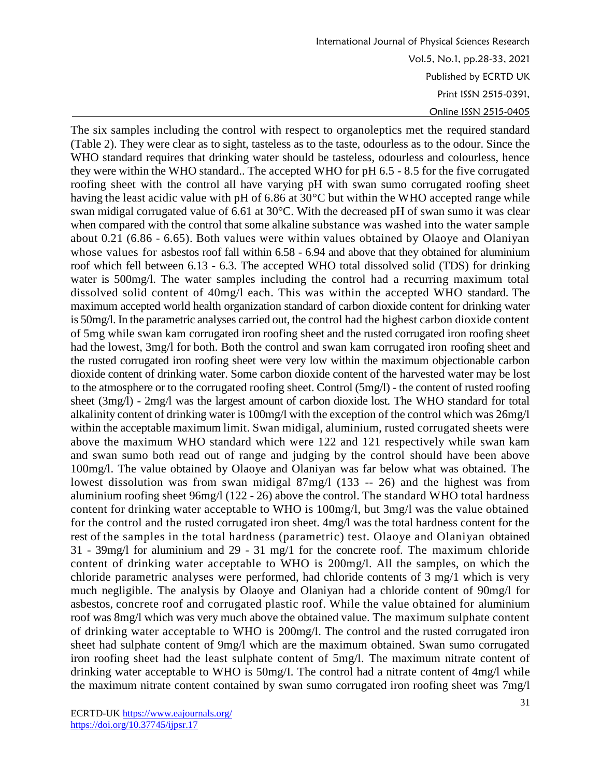International Journal of Physical Sciences Research Vol.5, No.1, pp.28-33, 2021 Published by ECRTD UK Print ISSN 2515-0391, Online ISSN 2515-0405

The six samples including the control with respect to organoleptics met the required standard (Table 2). They were clear as to sight, tasteless as to the taste, odourless as to the odour. Since the WHO standard requires that drinking water should be tasteless, odourless and colourless, hence they were within the WHO standard.. The accepted WHO for pH 6.5 - 8.5 for the five corrugated roofing sheet with the control all have varying pH with swan sumo corrugated roofing sheet having the least acidic value with pH of 6.86 at 30°C but within the WHO accepted range while swan midigal corrugated value of 6.61 at 30°C. With the decreased pH of swan sumo it was clear when compared with the control that some alkaline substance was washed into the water sample about 0.21 (6.86 - 6.65). Both values were within values obtained by Olaoye and Olaniyan whose values for asbestos roof fall within 6.58 - 6.94 and above that they obtained for aluminium roof which fell between 6.13 - 6.3. The accepted WHO total dissolved solid (TDS) for drinking water is 500mg/l. The water samples including the control had a recurring maximum total dissolved solid content of 40mg/l each. This was within the accepted WHO standard. The maximum accepted world health organization standard of carbon dioxide content for drinking water is 50mg/l. In the parametric analyses carried out, the control had the highest carbon dioxide content of 5mg while swan kam corrugated iron roofing sheet and the rusted corrugated iron roofing sheet had the lowest, 3mg/l for both. Both the control and swan kam corrugated iron roofing sheet and the rusted corrugated iron roofing sheet were very low within the maximum objectionable carbon dioxide content of drinking water. Some carbon dioxide content of the harvested water may be lost to the atmosphere or to the corrugated roofing sheet. Control (5mg/l) - the content of rusted roofing sheet (3mg/l) - 2mg/l was the largest amount of carbon dioxide lost. The WHO standard for total alkalinity content of drinking water is 100mg/l with the exception of the control which was 26mg/l within the acceptable maximum limit. Swan midigal, aluminium, rusted corrugated sheets were above the maximum WHO standard which were 122 and 121 respectively while swan kam and swan sumo both read out of range and judging by the control should have been above 100mg/l. The value obtained by Olaoye and Olaniyan was far below what was obtained. The lowest dissolution was from swan midigal 87mg/l (133 -- 26) and the highest was from aluminium roofing sheet 96mg/l (122 - 26) above the control. The standard WHO total hardness content for drinking water acceptable to WHO is 100mg/l, but 3mg/l was the value obtained for the control and the rusted corrugated iron sheet. 4mg/l was the total hardness content for the rest of the samples in the total hardness (parametric) test. Olaoye and Olaniyan obtained 31 - 39mg/l for aluminium and 29 - 31 mg/1 for the concrete roof. The maximum chloride content of drinking water acceptable to WHO is 200mg/l. All the samples, on which the chloride parametric analyses were performed, had chloride contents of 3 mg/1 which is very much negligible. The analysis by Olaoye and Olaniyan had a chloride content of 90mg/l for asbestos, concrete roof and corrugated plastic roof. While the value obtained for aluminium roof was 8mg/l which was very much above the obtained value. The maximum sulphate content of drinking water acceptable to WHO is 200mg/l. The control and the rusted corrugated iron sheet had sulphate content of 9mg/l which are the maximum obtained. Swan sumo corrugated iron roofing sheet had the least sulphate content of 5mg/l. The maximum nitrate content of drinking water acceptable to WHO is 50mg/I. The control had a nitrate content of 4mg/l while the maximum nitrate content contained by swan sumo corrugated iron roofing sheet was 7mg/l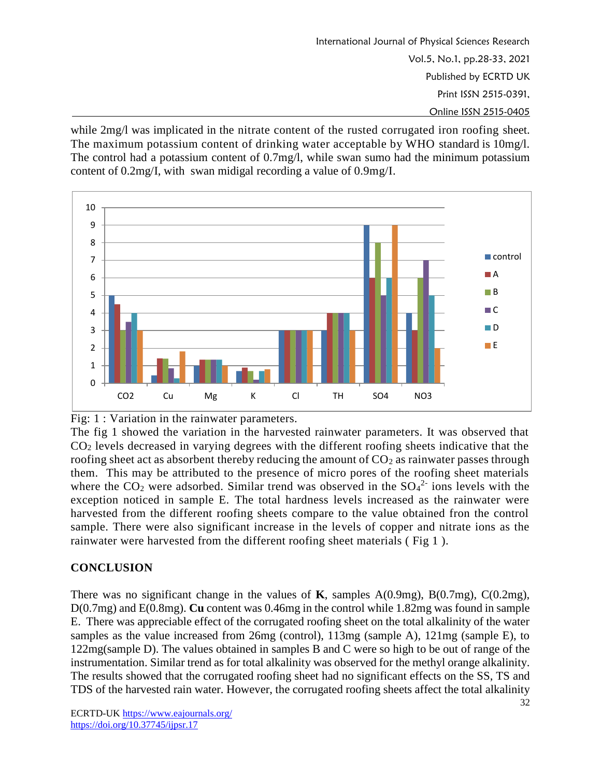International Journal of Physical Sciences Research Vol.5, No.1, pp.28-33, 2021 Published by ECRTD UK Print ISSN 2515-0391, Online ISSN 2515-0405

while 2mg/l was implicated in the nitrate content of the rusted corrugated iron roofing sheet. The maximum potassium content of drinking water acceptable by WHO standard is 10mg/l. The control had a potassium content of 0.7mg/l, while swan sumo had the minimum potassium content of 0.2mg/I, with swan midigal recording a value of 0.9mg/I.



Fig: 1 : Variation in the rainwater parameters.

The fig 1 showed the variation in the harvested rainwater parameters. It was observed that CO<sup>2</sup> levels decreased in varying degrees with the different roofing sheets indicative that the roofing sheet act as absorbent thereby reducing the amount of  $CO<sub>2</sub>$  as rainwater passes through them. This may be attributed to the presence of micro pores of the roofing sheet materials where the  $CO<sub>2</sub>$  were adsorbed. Similar trend was observed in the  $SO<sub>4</sub><sup>2</sup>$  ions levels with the exception noticed in sample E. The total hardness levels increased as the rainwater were harvested from the different roofing sheets compare to the value obtained fron the control sample. There were also significant increase in the levels of copper and nitrate ions as the rainwater were harvested from the different roofing sheet materials ( Fig 1 ).

# **CONCLUSION**

There was no significant change in the values of **K**, samples A(0.9mg), B(0.7mg), C(0.2mg), D(0.7mg) and E(0.8mg). **Cu** content was 0.46mg in the control while 1.82mg was found in sample E. There was appreciable effect of the corrugated roofing sheet on the total alkalinity of the water samples as the value increased from 26mg (control), 113mg (sample A), 121mg (sample E), to 122mg(sample D). The values obtained in samples B and C were so high to be out of range of the instrumentation. Similar trend as for total alkalinity was observed for the methyl orange alkalinity. The results showed that the corrugated roofing sheet had no significant effects on the SS, TS and TDS of the harvested rain water. However, the corrugated roofing sheets affect the total alkalinity